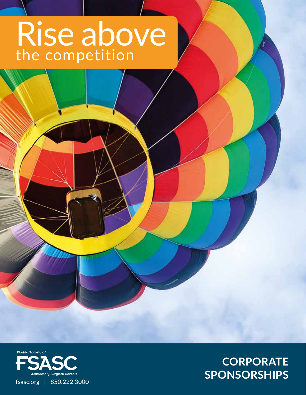# Rise above the competition



# **CORPORATE SPONSORSHIPS**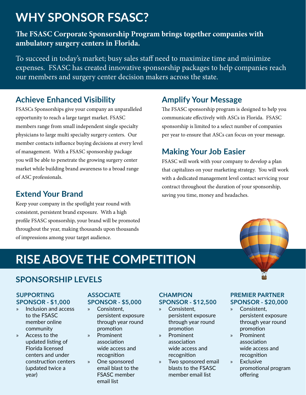# **WHY SPONSOR FSASC?**

#### **The FSASC Corporate Sponsorship Program brings together companies with ambulatory surgery centers in Florida.**

To succeed in today's market; busy sales staff need to maximize time and minimize expenses. FSASC has created innovative sponsorship packages to help companies reach our members and surgery center decision makers across the state.

## **Achieve Enhanced Visibility**

FSASCs Sponsorships give your company an unparalleled opportunity to reach a large target market. FSASC members range from small independent single specialty physicians to large multi specialty surgery centers. Our member contacts influence buying decisions at every level of management. With a FSASC sponsorship package you will be able to penetrate the growing surgery center market while building brand awareness to a broad range of ASC professionals.

## **Extend Your Brand**

Keep your company in the spotlight year round with consistent, persistent brand exposure. With a high profile FSASC sponsorship, your brand will be promoted throughout the year, making thousands upon thousands of impressions among your target audience.

### **Amplify Your Message**

The FSASC sponsorship program is designed to help you communicate effectively with ASCs in Florida. FSASC sponsorship is limited to a select number of companies per year to ensure that ASCs can focus on your message.

## **Making Your Job Easier**

FSASC will work with your company to develop a plan that capitalizes on your marketing strategy. You will work with a dedicated management level contact servicing your contract throughout the duration of your sponsorship, saving you time, money and headaches.

# **RISE ABOVE THE COMPETITION**

#### **SPONSORSHIP LEVELS**

#### **SUPPORTING SPONSOR - \$1,000**

- » Inclusion and access to the FSASC member online community
- » Access to the updated listing of Florida licensed centers and under construction centers (updated twice a year)

#### **ASSOCIATE SPONSOR - \$5,000**

- » Consistent, persistent exposure through year round promotion
- » Prominent association wide access and recognition
- » One sponsored email blast to the FSASC member email list

#### **CHAMPION SPONSOR - \$12,500**

- » Consistent, persistent exposure through year round promotion
- » Prominent association wide access and recognition
- » Two sponsored email blasts to the FSASC member email list

#### **PREMIER PARTNER SPONSOR - \$20,000**

- » Consistent, persistent exposure through year round promotion
- » Prominent association wide access and recognition
- » Exclusive promotional program offering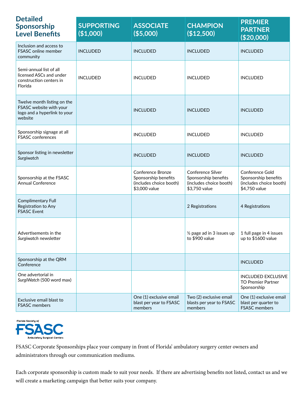| <b>Detailed</b><br><b>Sponsorship</b><br><b>Level Benefits</b>                                    | <b>SUPPORTING</b><br>(\$1,000) | <b>ASSOCIATE</b><br>( \$5,000)                                                               | <b>CHAMPION</b><br>(\$12,500)                                                         | <b>PREMIER</b><br><b>PARTNER</b><br>(\$20,000)                                      |
|---------------------------------------------------------------------------------------------------|--------------------------------|----------------------------------------------------------------------------------------------|---------------------------------------------------------------------------------------|-------------------------------------------------------------------------------------|
| Inclusion and access to<br><b>FSASC</b> online member<br>community                                | <b>INCLUDED</b>                | <b>INCLUDED</b>                                                                              | <b>INCLUDED</b>                                                                       | <b>INCLUDED</b>                                                                     |
| Semi-annual list of all<br>licensed ASCs and under<br>construction centers in<br>Florida          | <b>INCLUDED</b>                | <b>INCLUDED</b>                                                                              | <b>INCLUDED</b>                                                                       | <b>INCLUDED</b>                                                                     |
| Twelve month listing on the<br>FSASC website with your<br>logo and a hyperlink to your<br>website |                                | <b>INCLUDED</b>                                                                              | <b>INCLUDED</b>                                                                       | <b>INCLUDED</b>                                                                     |
| Sponsorship signage at all<br><b>FSASC</b> conferences                                            |                                | <b>INCLUDED</b>                                                                              | <b>INCLUDED</b>                                                                       | <b>INCLUDED</b>                                                                     |
| Sponsor listing in newsletter<br>Surgiwatch                                                       |                                | <b>INCLUDED</b>                                                                              | <b>INCLUDED</b>                                                                       | <b>INCLUDED</b>                                                                     |
| Sponsorship at the FSASC<br><b>Annual Conference</b>                                              |                                | <b>Conference Bronze</b><br>Sponsorship benefits<br>(includes choice booth)<br>\$3,000 value | Conference Silver<br>Sponsorship benefits<br>(includes choice booth)<br>\$3,750 value | Conference Gold<br>Sponsorship benefits<br>(includes choice booth)<br>\$4,750 value |
| <b>Complimentary Full</b><br>Registration to Any<br><b>FSASC Event</b>                            |                                |                                                                                              | 2 Registrations                                                                       | 4 Registrations                                                                     |
| Advertisements in the<br>Surgiwatch newsletter                                                    |                                |                                                                                              | $\frac{1}{2}$ page ad in 3 issues up<br>to \$900 value                                | 1 full page in 4 issues<br>up to \$1600 value                                       |
| Sponsorship at the QRM<br>Conference                                                              |                                |                                                                                              |                                                                                       | <b>INCLUDED</b>                                                                     |
| One advertorial in<br>SurgiWatch (500 word max)                                                   |                                |                                                                                              |                                                                                       | <b>INCLUDED EXCLUSIVE</b><br><b>TO Premier Partner</b><br>Sponsorship               |
| Exclusive email blast to<br><b>FSASC</b> members                                                  |                                | One (1) exclusive email<br>blast per year to FSASC<br>members                                | Two (2) exclusive email<br>blasts per year to FSASC<br>members                        | One (1) exclusive email<br>blast per quarter to<br><b>FSASC</b> members             |



FSASC Corporate Sponsorships place your company in front of Florida' ambulatory surgery center owners and administrators through our communication mediums.

Each corporate sponsorship is custom made to suit your needs. If there are advertising benefits not listed, contact us and we will create a marketing campaign that better suits your company.